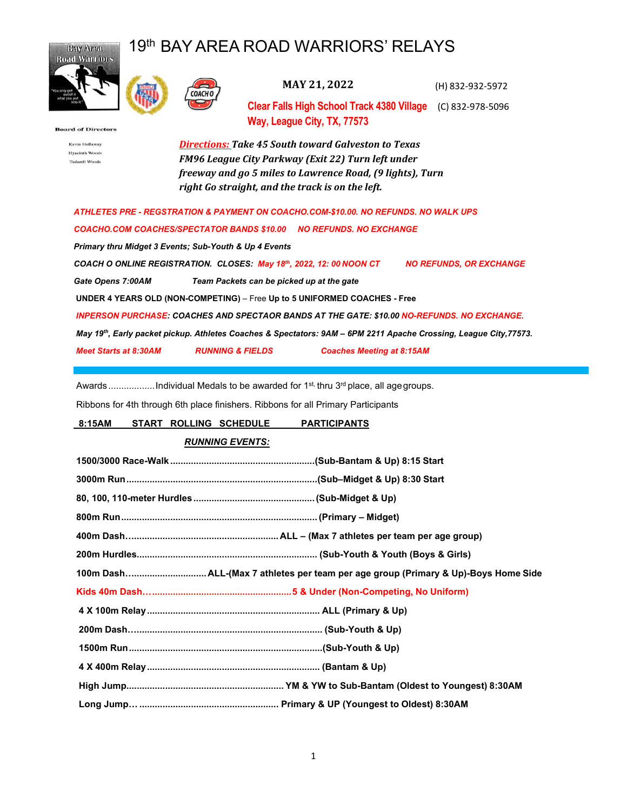## 19th BAY AREA ROAD WARRIORS' RELAYS



**Board of Directors Kevin Hollaway Hyacinth Woods Tadarell Woods** 



**MAY 21, 2022**

(H) 832-932-5972

**Clear Falls High School Track 4380 Village**  (C) 832-978-5096 **Way, League City, TX, 77573**

*Directions: Take 45 South toward Galveston to Texas FM96 League City Parkway (Exit 22) Turn left under freeway and go 5 miles to Lawrence Road, (9 lights), Turn right Go straight, and the track is on the left.*

*ATHLETES PRE - REGSTRATION & PAYMENT ON COACHO.COM-\$10.00. NO REFUNDS. NO WALK UPS COACHO.COM COACHES/SPECTATOR BANDS \$10.00 NO REFUNDS. NO EXCHANGE Primary thru Midget 3 Events; Sub-Youth & Up 4 Events COACH O ONLINE REGISTRATION. CLOSES: May 18th, 2022, 12: 00 NOON CT NO REFUNDS, OR EXCHANGE Gate Opens 7:00AM Team Packets can be picked up at the gate* **UNDER 4 YEARS OLD (NON-COMPETING)** – Free **Up to 5 UNIFORMED COACHES - Free** *INPERSON PURCHASE: COACHES AND SPECTAOR BANDS AT THE GATE: \$10.00 NO-REFUNDS. NO EXCHANGE. May 19th, Early packet pickup. Athletes Coaches & Spectators: 9AM – 6PM 2211 Apache Crossing, League City,77573. Meet Starts at 8:30AM RUNNING & FIELDS Coaches Meeting at 8:15AM*

Awards ..................Individual Medals to be awarded for 1st, thru 3rd place, all agegroups.

Ribbons for 4th through 6th place finishers. Ribbons for all Primary Participants

#### **8:15AM START ROLLING SCHEDULE PARTICIPANTS**

#### *RUNNING EVENTS:*

| 100m Dash ALL-(Max 7 athletes per team per age group (Primary & Up)-Boys Home Side |
|------------------------------------------------------------------------------------|
|                                                                                    |
|                                                                                    |
|                                                                                    |
|                                                                                    |
|                                                                                    |
|                                                                                    |
|                                                                                    |
|                                                                                    |